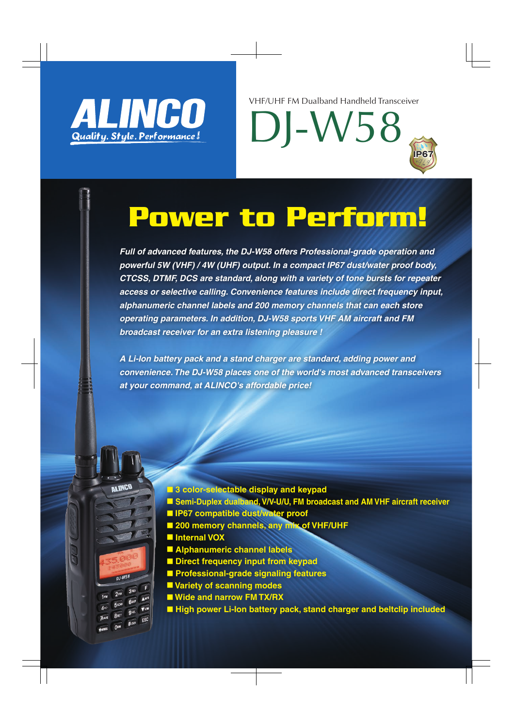

VHF/UHF FM Dualband Handheld Transceiver

DJ-W58

# **IP67**

### Power to Perform!

*Full of advanced features, the DJ-W58 offers Professional-grade operation and powerful 5W (VHF) / 4W (UHF) output. In a compact IP67 dust/water proof body, CTCSS, DTMF, DCS are standard, along with a variety of tone bursts for repeater access or selective calling. Convenience features include direct frequency input, alphanumeric channel labels and 200 memory channels that can each store operating parameters. In addition, DJ-W58 sports VHF AM aircraft and FM broadcast receiver for an extra listening pleasure !*

*A Li-Ion battery pack and a stand charger are standard, adding power and convenience. The DJ-W58 places one of the world's most advanced transceivers at your command, at ALINCO's affordable price!*

- 3 color-selectable display and keypad
- **Semi-Duplex dualband, V/V-U/U, FM broadcast and AM VHF aircraft receiver**
- **IP67 compatible dust/water proof**
- 200 memory channels, any mix of VHF/UHF
- **■ Internal VOX**

**ALINCO** 

**DJ-W58** 

 $3<sup>REV</sup>$ 

- **Alphanumeric channel labels**
- **Direct frequency input from keypad**
- **■ Professional-grade signaling features**
- Variety of scanning modes
- Wide and narrow **FM TX/RX**
- High power Li-Ion battery pack, stand charger and beltclip included